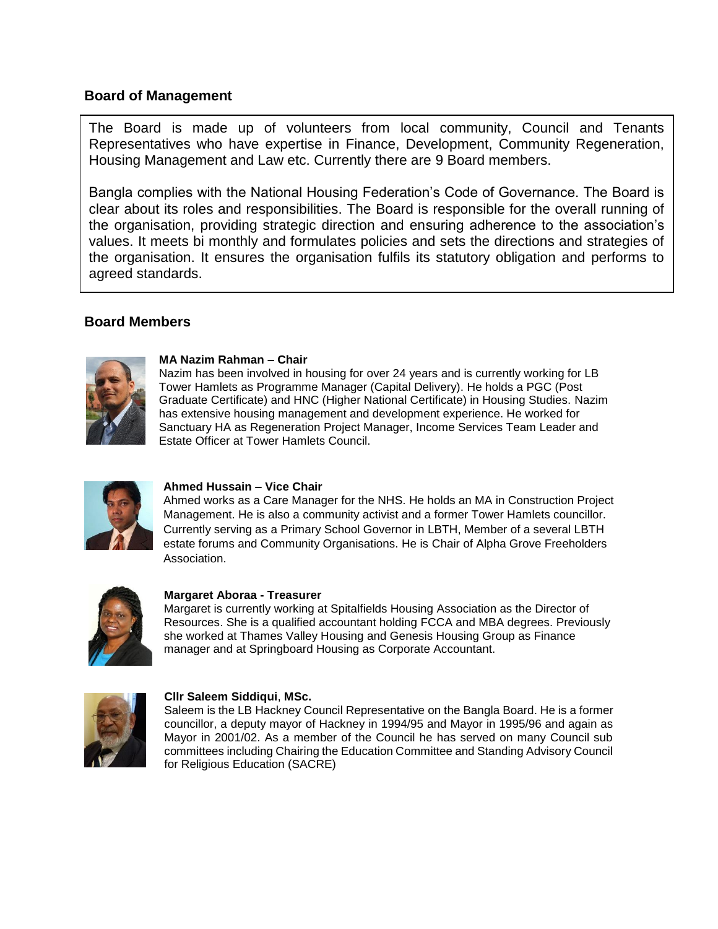# **Board of Management**

The Board is made up of volunteers from local community, Council and Tenants Representatives who have expertise in Finance, Development, Community Regeneration, Housing Management and Law etc. Currently there are 9 Board members.

Bangla complies with the National Housing Federation's Code of Governance. The Board is clear about its roles and responsibilities. The Board is responsible for the overall running of the organisation, providing strategic direction and ensuring adherence to the association's values. It meets bi monthly and formulates policies and sets the directions and strategies of the organisation. It ensures the organisation fulfils its statutory obligation and performs to agreed standards.

## **Board Members**



### **MA Nazim Rahman – Chair**

Nazim has been involved in housing for over 24 years and is currently working for LB Tower Hamlets as Programme Manager (Capital Delivery). He holds a PGC (Post Graduate Certificate) and HNC (Higher National Certificate) in Housing Studies. Nazim has extensive housing management and development experience. He worked for Sanctuary HA as Regeneration Project Manager, Income Services Team Leader and Estate Officer at Tower Hamlets Council.



## **Ahmed Hussain – Vice Chair**

Ahmed works as a Care Manager for the NHS. He holds an MA in Construction Project Management. He is also a community activist and a former Tower Hamlets councillor. Currently serving as a Primary School Governor in LBTH, Member of a several LBTH estate forums and Community Organisations. He is Chair of Alpha Grove Freeholders Association.



#### 1. **Margaret Aboraa - Treasurer**

Margaret is currently working at Spitalfields Housing Association as the Director of Resources. She is a qualified accountant holding FCCA and MBA degrees. Previously she worked at Thames Valley Housing and Genesis Housing Group as Finance manager and at Springboard Housing as Corporate Accountant.



## **Cllr Saleem Siddiqui**, **MSc.**

Saleem is the LB Hackney Council Representative on the Bangla Board. He is a former councillor, a deputy mayor of Hackney in 1994/95 and Mayor in 1995/96 and again as Mayor in 2001/02. As a member of the Council he has served on many Council sub committees including Chairing the Education Committee and Standing Advisory Council for Religious Education (SACRE)